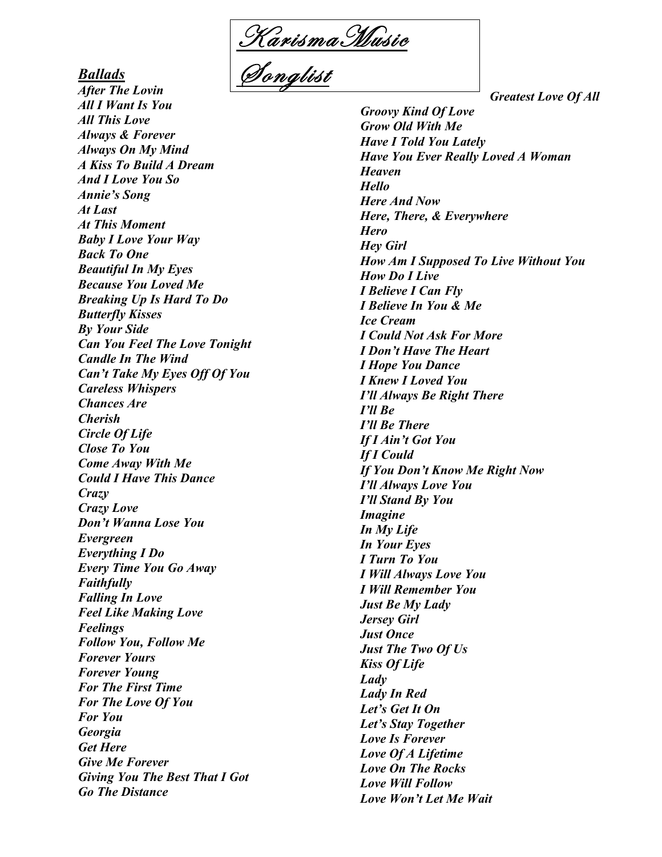K arismaM usic

Songlist

*Ballads After The Lovin All I Want Is You All This Love Always & Forever Always On My Mind A Kiss To Build A Dream And I Love You So Annie's Song At Last At This Moment Baby I Love Your Way Back To One Beautiful In My Eyes Because You Loved Me Breaking Up Is Hard To Do Butterfly Kisses By Your Side Can You Feel The Love Tonight Candle In The Wind Can't Take My Eyes Off Of You Careless Whispers Chances Are Cherish Circle Of Life Close To You Come Away With Me Could I Have This Dance Crazy Crazy Love Don't Wanna Lose You Evergreen Everything I Do Every Time You Go Away Faithfully Falling In Love Feel Like Making Love Feelings Follow You, Follow Me Forever Yours Forever Young For The First Time For The Love Of You For You Georgia Get Here Give Me Forever Giving You The Best That I Got Go The Distance*

*Groovy Kind Of Love Grow Old With Me Have I Told You Lately Have You Ever Really Loved A Woman Heaven Hello Here And Now Here, There, & Everywhere Hero Hey Girl How Am I Supposed To Live Without You How Do I Live I Believe I Can Fly I Believe In You & Me Ice Cream I Could Not Ask For More I Don't Have The Heart I Hope You Dance I Knew I Loved You I'll Always Be Right There I'll Be I'll Be There If I Ain't Got You If I Could If You Don't Know Me Right Now I'll Always Love You I'll Stand By You Imagine In My Life In Your Eyes I Turn To You I Will Always Love You I Will Remember You Just Be My Lady Jersey Girl Just Once Just The Two Of Us Kiss Of Life Lady Lady In Red Let's Get It On Let's Stay Together Love Is Forever Love Of A Lifetime Love On The Rocks Love Will Follow Love Won't Let Me Wait*

*Greatest Love Of All*